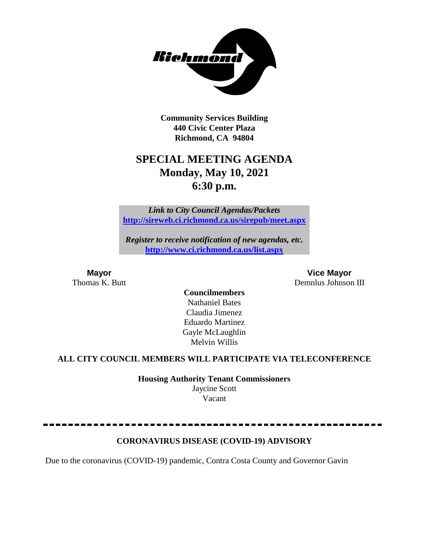

**Community Services Building 440 Civic Center Plaza Richmond, CA 94804**

# **SPECIAL MEETING AGENDA Monday, May 10, 2021 6:30 p.m.**

*Link to City Council Agendas/Packets* **<http://sireweb.ci.richmond.ca.us/sirepub/meet.aspx>**

*Register to receive notification of new agendas, etc.* **<http://www.ci.richmond.ca.us/list.aspx>**

**Mayor Vice Mayor** Thomas K. Butt Demnlus Johnson III

**Councilmembers** Nathaniel Bates Claudia Jimenez Eduardo Martinez Gayle McLaughlin Melvin Willis

#### **ALL CITY COUNCIL MEMBERS WILL PARTICIPATE VIA TELECONFERENCE**

**Housing Authority Tenant Commissioners** Jaycine Scott Vacant

### **CORONAVIRUS DISEASE (COVID-19) ADVISORY**

Due to the coronavirus (COVID-19) pandemic, Contra Costa County and Governor Gavin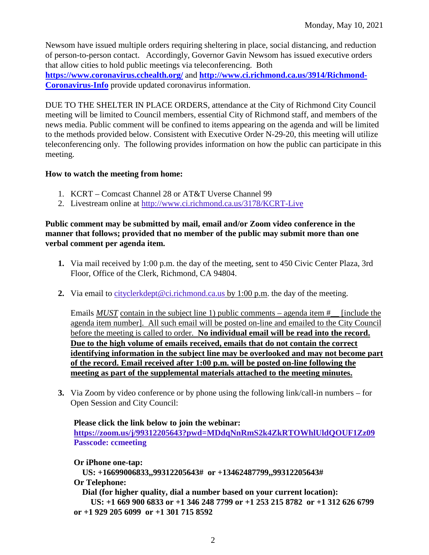Newsom have issued multiple orders requiring sheltering in place, social distancing, and reduction of person-to-person contact. Accordingly, Governor Gavin Newsom has issued executive orders that allow cities to hold public meetings via teleconferencing. Both **<https://www.coronavirus.cchealth.org/>** and **[http://www.ci.richmond.ca.us/3914/Richmond-](http://www.ci.richmond.ca.us/3914/Richmond-Coronavirus-Info)[Coronavirus-Info](http://www.ci.richmond.ca.us/3914/Richmond-Coronavirus-Info)** provide updated coronavirus information.

DUE TO THE SHELTER IN PLACE ORDERS, attendance at the City of Richmond City Council meeting will be limited to Council members, essential City of Richmond staff, and members of the news media. Public comment will be confined to items appearing on the agenda and will be limited to the methods provided below. Consistent with Executive Order N-29-20, this meeting will utilize teleconferencing only. The following provides information on how the public can participate in this meeting.

#### **How to watch the meeting from home:**

- 1. KCRT Comcast Channel 28 or AT&T Uverse Channel 99
- 2. Livestream online at<http://www.ci.richmond.ca.us/3178/KCRT-Live>

#### **Public comment may be submitted by mail, email and/or Zoom video conference in the manner that follows; provided that no member of the public may submit more than one verbal comment per agenda item.**

- **1.** Via mail received by 1:00 p.m. the day of the meeting, sent to 450 Civic Center Plaza, 3rd Floor, Office of the Clerk, Richmond, CA 94804.
- **2.** Via email to [cityclerkdept@ci.richmond.ca.us](mailto:cityclerkdept@ci.richmond.ca.us) by 1:00 p.m. the day of the meeting.

Emails *MUST* contain in the subject line 1) public comments – agenda item #\_\_ [include the agenda item number]. All such email will be posted on-line and emailed to the City Council before the meeting is called to order. **No individual email will be read into the record. Due to the high volume of emails received, emails that do not contain the correct identifying information in the subject line may be overlooked and may not become part of the record. Email received after 1:00 p.m. will be posted on-line following the meeting as part of the supplemental materials attached to the meeting minutes.**

**3.** Via Zoom by video conference or by phone using the following link/call-in numbers – for Open Session and City Council:

#### **Please click the link below to join the webinar: <https://zoom.us/j/99312205643?pwd=MDdqNnRmS2k4ZkRTOWhlUldQOUF1Zz09> Passcode: ccmeeting**

**Or iPhone one-tap: US: +16699006833,,99312205643# or +13462487799,,99312205643# Or Telephone: Dial (for higher quality, dial a number based on your current location): US: +1 669 900 6833 or +1 346 248 7799 or +1 253 215 8782 or +1 312 626 6799 or +1 929 205 6099 or +1 301 715 8592**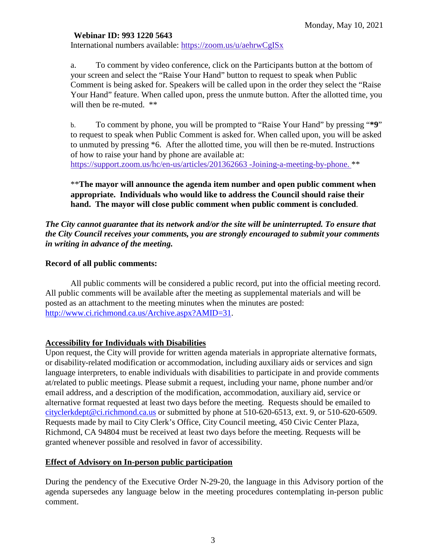#### **Webinar ID: 993 1220 5643**

International numbers available: <https://zoom.us/u/aehrwCgISx>

a. To comment by video conference, click on the Participants button at the bottom of your screen and select the "Raise Your Hand" button to request to speak when Public Comment is being asked for. Speakers will be called upon in the order they select the "Raise Your Hand" feature. When called upon, press the unmute button. After the allotted time, you will then be re-muted. \*\*

b. To comment by phone, you will be prompted to "Raise Your Hand" by pressing "**\*9**" to request to speak when Public Comment is asked for. When called upon, you will be asked to unmuted by pressing \*6. After the allotted time, you will then be re-muted. Instructions of how to raise your hand by phone are available at: [https://support.zoom.us/hc/en-us/articles/201362663 -Joining-a-meeting-by-phone.](https://support.zoom.us/hc/en-us/articles/201362663) \*\*

\*\***The mayor will announce the agenda item number and open public comment when appropriate. Individuals who would like to address the Council should raise their hand. The mayor will close public comment when public comment is concluded**.

#### *The City cannot guarantee that its network and/or the site will be uninterrupted. To ensure that the City Council receives your comments, you are strongly encouraged to submit your comments in writing in advance of the meeting.*

#### **Record of all public comments:**

All public comments will be considered a public record, put into the official meeting record. All public comments will be available after the meeting as supplemental materials and will be posted as an attachment to the meeting minutes when the minutes are posted: [http://www.ci.richmond.ca.us/Archive.aspx?AMID=31.](http://www.ci.richmond.ca.us/Archive.aspx?AMID=31)

#### **Accessibility for Individuals with Disabilities**

Upon request, the City will provide for written agenda materials in appropriate alternative formats, or disability-related modification or accommodation, including auxiliary aids or services and sign language interpreters, to enable individuals with disabilities to participate in and provide comments at/related to public meetings. Please submit a request, including your name, phone number and/or email address, and a description of the modification, accommodation, auxiliary aid, service or alternative format requested at least two days before the meeting. Requests should be emailed to [cityclerkdept@ci.richmond.ca.us](mailto:cityclerkdept@ci.richmond.ca.us) or submitted by phone at 510-620-6513, ext. 9, or 510-620-6509. Requests made by mail to City Clerk's Office, City Council meeting, 450 Civic Center Plaza, Richmond, CA 94804 must be received at least two days before the meeting. Requests will be granted whenever possible and resolved in favor of accessibility.

#### **Effect of Advisory on In-person public participation**

During the pendency of the Executive Order N-29-20, the language in this Advisory portion of the agenda supersedes any language below in the meeting procedures contemplating in-person public comment.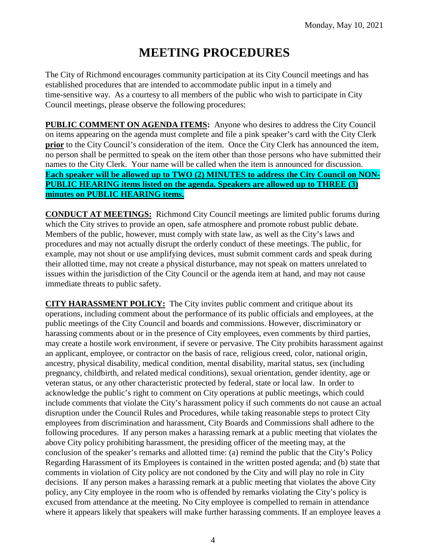# **MEETING PROCEDURES**

The City of Richmond encourages community participation at its City Council meetings and has established procedures that are intended to accommodate public input in a timely and time-sensitive way. As a courtesy to all members of the public who wish to participate in City Council meetings, please observe the following procedures:

**PUBLIC COMMENT ON AGENDA ITEMS:** Anyone who desires to address the City Council on items appearing on the agenda must complete and file a pink speaker's card with the City Clerk **prior** to the City Council's consideration of the item. Once the City Clerk has announced the item, no person shall be permitted to speak on the item other than those persons who have submitted their names to the City Clerk. Your name will be called when the item is announced for discussion. **Each speaker will be allowed up to TWO (2) MINUTES to address the City Council on NON-PUBLIC HEARING items listed on the agenda. Speakers are allowed up to THREE (3) minutes on PUBLIC HEARING items.**

**CONDUCT AT MEETINGS:** Richmond City Council meetings are limited public forums during which the City strives to provide an open, safe atmosphere and promote robust public debate. Members of the public, however, must comply with state law, as well as the City's laws and procedures and may not actually disrupt the orderly conduct of these meetings. The public, for example, may not shout or use amplifying devices, must submit comment cards and speak during their allotted time, may not create a physical disturbance, may not speak on matters unrelated to issues within the jurisdiction of the City Council or the agenda item at hand, and may not cause immediate threats to public safety.

**CITY HARASSMENT POLICY:** The City invites public comment and critique about its operations, including comment about the performance of its public officials and employees, at the public meetings of the City Council and boards and commissions. However, discriminatory or harassing comments about or in the presence of City employees, even comments by third parties, may create a hostile work environment, if severe or pervasive. The City prohibits harassment against an applicant, employee, or contractor on the basis of race, religious creed, color, national origin, ancestry, physical disability, medical condition, mental disability, marital status, sex (including pregnancy, childbirth, and related medical conditions), sexual orientation, gender identity, age or veteran status, or any other characteristic protected by federal, state or local law. In order to acknowledge the public's right to comment on City operations at public meetings, which could include comments that violate the City's harassment policy if such comments do not cause an actual disruption under the Council Rules and Procedures, while taking reasonable steps to protect City employees from discrimination and harassment, City Boards and Commissions shall adhere to the following procedures. If any person makes a harassing remark at a public meeting that violates the above City policy prohibiting harassment, the presiding officer of the meeting may, at the conclusion of the speaker's remarks and allotted time: (a) remind the public that the City's Policy Regarding Harassment of its Employees is contained in the written posted agenda; and (b) state that comments in violation of City policy are not condoned by the City and will play no role in City decisions. If any person makes a harassing remark at a public meeting that violates the above City policy, any City employee in the room who is offended by remarks violating the City's policy is excused from attendance at the meeting. No City employee is compelled to remain in attendance where it appears likely that speakers will make further harassing comments. If an employee leaves a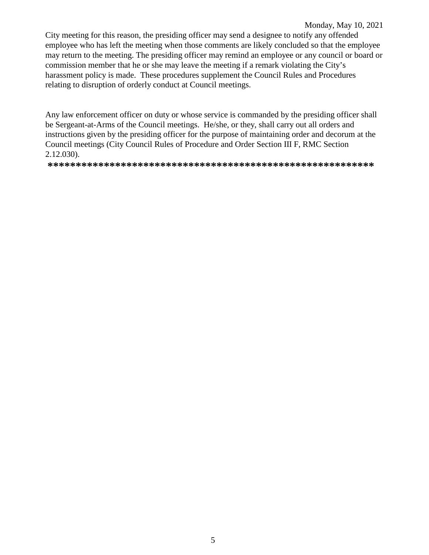#### Monday, May 10, 2021

City meeting for this reason, the presiding officer may send a designee to notify any offended employee who has left the meeting when those comments are likely concluded so that the employee may return to the meeting. The presiding officer may remind an employee or any council or board or commission member that he or she may leave the meeting if a remark violating the City's harassment policy is made. These procedures supplement the Council Rules and Procedures relating to disruption of orderly conduct at Council meetings.

Any law enforcement officer on duty or whose service is commanded by the presiding officer shall be Sergeant-at-Arms of the Council meetings. He/she, or they, shall carry out all orders and instructions given by the presiding officer for the purpose of maintaining order and decorum at the Council meetings (City Council Rules of Procedure and Order Section III F, RMC Section  $2.12.030$ ).